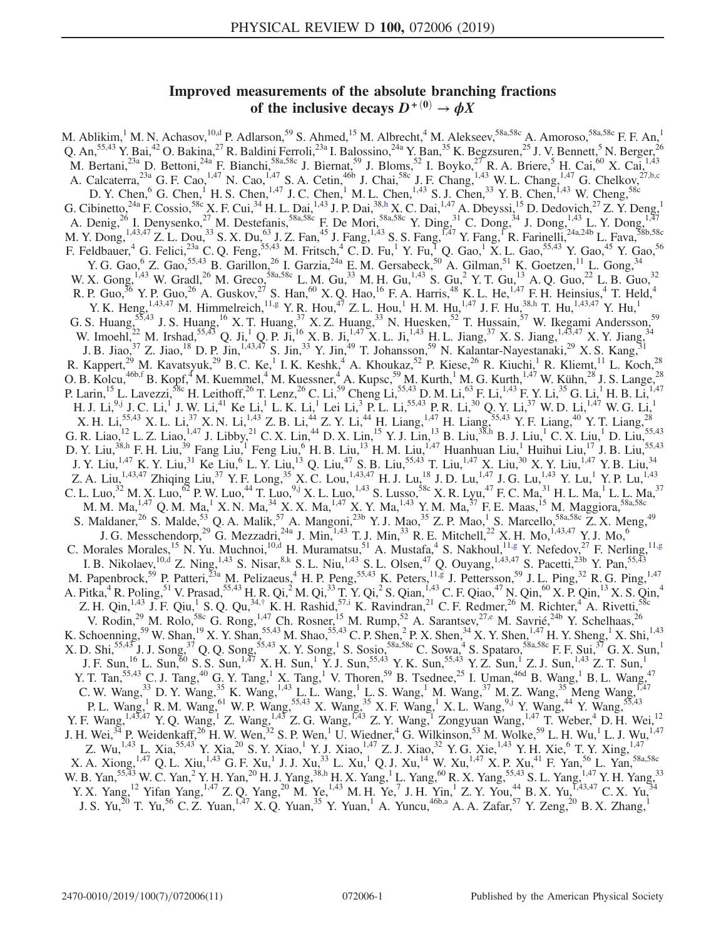# Improved measurements of the absolute branching fractions of the inclusive decays  $D^{+(0)} \to \phi X$

<span id="page-0-8"></span><span id="page-0-7"></span><span id="page-0-6"></span><span id="page-0-5"></span><span id="page-0-4"></span><span id="page-0-3"></span><span id="page-0-2"></span><span id="page-0-1"></span><span id="page-0-0"></span>M. Ablikim,<sup>1</sup> M. N. Achasov,<sup>10[,d](#page-2-0)</sup> P. Adlarson,<sup>59</sup> S. Ahmed,<sup>15</sup> M. Albrecht,<sup>4</sup> M. Alekseev,<sup>58a,58c</sup> A. Amoroso,<sup>58a,58c</sup> F. F. An,<sup>1</sup> Q. An,<sup>55,43</sup> Y. Bai,<sup>42</sup> O. Bakina,<sup>27</sup> R. Baldini Ferroli,<sup>23a</sup> I. Balossino,<sup>24a</sup> Y. Ban,<sup>35</sup> K. Begzsuren,<sup>25</sup> J. V. Bennett,<sup>5</sup> N. Berger,<sup>26</sup> M. Bertani,<sup>23a</sup> D. Bettoni,<sup>24a</sup> F. Bianchi,<sup>58a,58c</sup> J. Biernat,<sup>59</sup> J. Bloms,<sup>52</sup> I. Boyko,<sup>27</sup> R. A. Briere,<sup>5</sup> H. Cai,<sup>60</sup> X. Cai,<sup>1,43</sup> A. Calcaterra,  $^{23a}$  G. F. Cao,  $^{1,47}$  N. Cao,  $^{1,47}$  S. A. Cetin,  $^{46b}$  J. Chai,  $^{58c}$  J. F. Chang,  $^{1,43}$  W. L. Chang,  $^{1,47}$  G. Chelkov,  $^{27,b,c}$  $^{27,b,c}$  $^{27,b,c}$ D. Y. Chen,  $^{6}$  G. Chen,  $^{1}$  H. S. Chen,  $^{1,47}$  J. C. Chen,  $^{1}$  M. L. Chen,  $^{1,43}$  S. J. Chen,  $^{33}$  Y. B. Chen,  $^{1,43}$  W. Cheng,  $^{58c}$ G. Cibinetto,<sup>24a</sup> F. Cossio,<sup>58c</sup> X. F. Cui,<sup>34</sup> H. L. Dai,<sup>1,43</sup> J. P. Dai,<sup>3[8,h](#page-2-2)</sup> X. C. Dai,<sup>1,47</sup> A. Dbeyssi,<sup>15</sup> D. Dedovich,<sup>27</sup> Z. Y. Deng,<sup>1</sup> A. Denig,<sup>26</sup> I. Denysenko,<sup>27</sup> M. Destefanis,<sup>58a,58c</sup> F. De Mori,<sup>58a,58c</sup> Y. Ding,<sup>31</sup> C. Dong,<sup>34</sup> J. Dong,<sup>1,43</sup> L. Y. Dong,<sup>1,47</sup> M. Y. Dong, <sup>1,43,47</sup> Z. L. Dou,<sup>33</sup> S. X. Du,<sup>63</sup> J. Z. Fan,<sup>45</sup> J. Fang, <sup>1,43</sup> S. S. Fang, <sup>1,47</sup> Y. Fang, <sup>1</sup>R. Farinelli, <sup>24a,24b</sup> L. Fava, <sup>58b,58c</sup> F. Feldbauer, <sup>4</sup> G. Felici,<sup>23a</sup> C. Q. Feng,<sup>55,43</sup> M. Fritsch, <sup>4</sup> C. D. Fu, <sup>1</sup> Y. Fu, <sup>1</sup> Q. Gao, <sup>1</sup> X. L. Gao,<sup>55,43</sup> Y. Gao,<sup>45</sup> Y. Gao,<sup>56</sup> Y. G. Gao,  $6$  Z. Gao,  $55,43$  B. Garillon,  $26$  I. Garzia,  $24a$  E. M. Gersabeck,  $50$  A. Gilman,  $51$  K. Goetzen,  $11$  L. Gong,  $34$ W. X. Gong,  $^{1,43}$  W. Gradl,  $^{26}$  M. Greco,  $^{58a,58c}$  L. M. Gu,  $^{33}$  M. H. Gu,  $^{1,43}$  S. Gu,  $^{2}$  Y. T. Gu,  $^{13}$  A. Q. Guo,  $^{22}$  L. B. Guo,  $^{32}$ R. P. Guo, <sup>36</sup> Y. P. Guo, <sup>26</sup> A. Guskov, <sup>27</sup> S. Han, <sup>60</sup> X. Q. Hao, <sup>16</sup> F. A. Harris, <sup>48</sup> K. L. He, <sup>1,47</sup> F. H. Heinsius, <sup>4</sup> T. Held, <sup>4</sup> Y. K. Heng,  $^{1,43,47}$  M. Himmelreich,  $^{11, g}$  Y. R. Hou,  $^{47}$  Z. L. Hou,  $^{1}$  H. M. Hu,  $^{1,47}$  J. F. Hu,  $^{38, h}$  T. Hu,  $^{1,43,47}$  Y. Hu,  $^{1}$ G. S. Huang,<sup>55,43</sup> J. S. Huang,<sup>16</sup> X. T. Huang,<sup>37</sup> X. Z. Huang,<sup>33</sup> N. Huesken,<sup>52</sup> T. Hussain,<sup>57</sup> W. Ikegami Andersson,<sup>59</sup> W. Imoehl,<sup>22</sup> M. Irshad,<sup>55,43</sup> Q. Ji,<sup>1</sup> Q. P. Ji,<sup>16</sup> X. B. Ji,<sup>1,47</sup> X. L. Ji,<sup>1,43</sup> H. L. Jiang,<sup>37</sup> X. S. Jiang,<sup>1,43,47</sup> X. Y. Jiang,<sup>34</sup> J. B. Jiao,  $^{37}$  Z. Jiao,  $^{18}$  D. P. Jin,  $^{1,43,47}$  S. Jin,  $^{33}$  Y. Jin,  $^{49}$  T. Johansson,  $^{59}$  N. Kalantar-Nayestanaki,  $^{29}$  X. S. Kang,  $^{31}$ R. Kappert,<sup>29</sup> M. Kavatsyuk,<sup>29</sup> B. C. Ke,<sup>1</sup> I. K. Keshk,<sup>4</sup> A. Khoukaz,<sup>52</sup> P. Kiese,<sup>26</sup> R. Kiuchi,<sup>1</sup> R. Kliemt,<sup>11</sup> L. Koch,<sup>28</sup> O. B. Kolcu,<sup>46b[,f](#page-2-4)</sup> B. Kopf,<sup>4</sup> M. Kuemmel,<sup>4</sup> M. Kuessner,<sup>4</sup> A. Kupsc,<sup>59</sup> M. Kurth,<sup>1</sup> M. G. Kurth,<sup>1,47</sup> W. Kühn,<sup>28</sup> J. S. Lange,<sup>28</sup> P. Larin,<sup>15</sup> L. Lavezzi,<sup>58c</sup> H. Leithoff,<sup>26</sup> T. Lenz,<sup>26</sup> C. Li,<sup>59</sup> Cheng Li,<sup>55,43</sup> D. M. Li,<sup>63</sup> F. Li,<sup>1,43</sup> F. Y. Li,<sup>35</sup> G. Li,<sup>1</sup> H. B. Li,<sup>1,47</sup> H. J. Li, $^{9, j}$  J. C. Li, $^{1}$  J. W. Li, $^{41}$  Ke Li, $^{1}$  L. K. Li, $^{1}$  Lei Li, $^{3}$  P. L. Li, $^{55, 43}$  P. R. Li, $^{30}$  Q. Y. Li, $^{37}$  W. D. Li, $^{1, 47}$  W. G. Li, $^{1}$ X. H. Li,<sup>55,43</sup> X. L. Li,<sup>37</sup> X. N. Li,<sup>1,43</sup> Z. B. Li,<sup>44</sup> Z. Y. Li,<sup>44</sup> H. Liang,<sup>1,47</sup> H. Liang,<sup>55,43</sup> Y. F. Liang,<sup>40</sup> Y. T. Liang,<sup>28</sup> G. R. Liao,  $^{12}$  L. Z. Liao,  $^{1,47}$  J. Libby,  $^{21}$  C. X. Lin,  $^{44}$  D. X. Lin,  $^{15}$  Y. J. Lin,  $^{13}$  B. Liu, $^{38}$ , h B. J. Liu,  $^{1}$  C. X. Liu,  $^{1}$  D. Liu,  $^{55,43}$ D. Y. Liu,<sup>3[8,h](#page-2-2)</sup> F. H. Liu,<sup>39</sup> Fang Liu,<sup>1</sup> Feng Liu,<sup>6</sup> H. B. Liu,<sup>13</sup> H. M. Liu,<sup>1,47</sup> Huanhuan Liu,<sup>1</sup> Huihui Liu,<sup>17</sup> J. B. Liu,<sup>55,43</sup> J. Y. Liu,<sup>1,47</sup> K. Y. Liu,<sup>31</sup> Ke Liu,<sup>6</sup> L. Y. Liu,<sup>13</sup> Q. Liu,<sup>47</sup> S. B. Liu,<sup>55,43</sup> T. Liu,<sup>1,47</sup> X. Liu,<sup>30</sup> X. Y. Liu,<sup>1,47</sup> Y. B. Liu,<sup>34</sup> Z. A. Liu,<sup>1,43,47</sup> Zhiqing Liu,<sup>37</sup> Y. F. Long,<sup>35</sup> X. C. Lou,<sup>1,43,47</sup> H. J. Lu,<sup>18</sup> J. D. Lu,<sup>1,47</sup> J. G. Lu,<sup>1,43</sup> Y. Lu,<sup>1</sup> Y. P. Lu,<sup>1,43</sup> C. L. Luo,<sup>32</sup> M. X. Luo,<sup>62</sup> P. W. Luo,<sup>44</sup> T. Luo,<sup>9[,j](#page-2-5)</sup> X. L. Luo,<sup>1,43</sup> S. Lusso,<sup>58c</sup> X. R. Lyu,<sup>47</sup> F. C. Ma,<sup>31</sup> H. L. Ma,<sup>1</sup> L. L. Ma,<sup>37</sup> M. M. Ma, $^{1,47}$  Q. M. Ma, $^1$  X. N. Ma, $^{34}$  X. X. Ma, $^{1,47}$  X. Y. Ma, $^{1,43}$  Y. M. Ma, $^{37}$  F. E. Maas, $^{15}$  M. Maggiora, $^{58a,58c}$ S. Maldaner,<sup>26</sup> S. Malde,<sup>53</sup> Q. A. Malik,<sup>57</sup> A. Mangoni,<sup>23b</sup> Y. J. Mao,<sup>35</sup> Z. P. Mao,<sup>1</sup> S. Marcello,<sup>58a,58c</sup> Z. X. Meng,<sup>49</sup> J. G. Messchendorp,<sup>29</sup> G. Mezzadri,<sup>24a</sup> J. Min,<sup>1,43</sup> T. J. Min,<sup>33</sup> R. E. Mitchell,<sup>22</sup> X. H. Mo,<sup>1,43,47</sup> Y. J. Mo,<sup>6</sup> C. Morales Morales,<sup>15</sup> N. Yu. Muchnoi,<sup>1[0,d](#page-2-0)</sup> H. Muramatsu,<sup>51</sup> A. Mustafa,<sup>4</sup> S. Nakhoul,<sup>1[1,g](#page-2-3)</sup> Y. Nefedov,<sup>27</sup> F. Nerling,<sup>11[,g](#page-2-3)</sup> I. B. Nikolaev,  $^{10, d}$  Z. Ning,  $^{1, 43}$  S. Nisar,  $^{8, k}$  S. L. Niu,  $^{1, 43}$  S. L. Olsen,  $^{47}$  Q. Ouyang,  $^{1, 43, 47}$  S. Pacetti,  $^{23b}$  Y. Pan,  $^{55, 43}$ M. Papenbrock,<sup>59</sup> P. Patteri,<sup>23a</sup> M. Pelizaeus,<sup>4</sup> H. P. Peng,<sup>55,43</sup> K. Peters,<sup>1[1,g](#page-2-3)</sup> J. Pettersson,<sup>59</sup> J. L. Ping,<sup>32</sup> R. G. Ping,<sup>1,47</sup> A. Pitka,<sup>4</sup> R. Poling,<sup>51</sup> V. Prasad,<sup>55,43</sup> H. R. Qi,<sup>2</sup> M. Qi,<sup>33</sup> T. Y. Qi,<sup>2</sup> S. Qian,<sup>1,43</sup> C. F. Qiao,<sup>47</sup> N. Qin,<sup>60</sup> X. P. Qin,<sup>13</sup> X. S. Qin,<sup>4</sup> Z. H. Qin,  $^{1,43}$  J. F. Qiu, S. Q. Qu,  $^{34, \dagger}$  K. H. Rashid,  $^{57, i}$  K. Ravindran,  $^{21}$  C. F. Redmer,  $^{26}$  M. Richter,  $^{4}$  A. Rivetti,  $^{58c}$ V. Rodin,<sup>29</sup> M. Rolo,<sup>58c</sup> G. Rong,<sup>1,47</sup> Ch. Rosner,<sup>15</sup> M. Rump,<sup>52</sup> A. Sarantsev,<sup>2[7,e](#page-2-9)</sup> M. Savrié,<sup>24b</sup> Y. Schelhaas,<sup>26</sup> K. Schoenning,<sup>59</sup> W. Shan,<sup>19</sup> X. Y. Shan,<sup>55,43</sup> M. Shao,<sup>55,43</sup> C. P. Shen,<sup>2</sup> P. X. Shen,<sup>34</sup> X. Y. Shen,<sup>1,47</sup> H. Y. Sheng,<sup>1</sup> X. Shi,<sup>1,43</sup> X. D. Shi,<sup>55,43</sup> J. J. Song,<sup>37</sup> Q. Q. Song,<sup>55,43</sup> X. Y. Song,<sup>1</sup> S. Sosio,<sup>58a,58c</sup> C. Sowa,<sup>4</sup> S. Spataro,<sup>58a,58c</sup> F. F. Sui,<sup>37</sup> G. X. Sun,<sup>1</sup> J. F. Sun,<sup>16</sup> L. Sun,<sup>60</sup> S. S. Sun,<sup>1,47</sup> X. H. Sun,<sup>1</sup> Y. J. Sun,<sup>55,43</sup> Y. K. Sun,<sup>55,43</sup> Y. Z. Sun,<sup>1</sup> Z. J. Sun,<sup>1,43</sup> Z. T. Sun,<sup>1</sup> Y. T. Tan,<sup>55,43</sup> C. J. Tang,<sup>40</sup> G. Y. Tang,<sup>1</sup> X. Tang,<sup>1</sup> V. Thoren,<sup>59</sup> B. Tsednee,<sup>25</sup> I. Uman,<sup>46d</sup> B. Wang,<sup>1</sup> B. L. Wang,<sup>47</sup> C. W. Wang,  $3^3$  D. Y. Wang,  $3^5$  K. Wang,  $1,43$  L. L. Wang,  $1^1$  L. S. Wang,  $1^1$  M. Wang,  $3^7$  M. Z. Wang,  $3^5$  Meng Wang,  $1,47$ P. L. Wang,<sup>1</sup> R. M. Wang,<sup>61</sup> W. P. Wang,<sup>55,43</sup> X. Wang,<sup>35</sup> X. F. Wang,<sup>1</sup> X. L. Wang,<sup>[9,j](#page-2-5)</sup> Y. Wang,<sup>44</sup> Y. Wang,<sup>55,43</sup> Y. F. Wang,<sup>1,43,47</sup> Y. Q. Wang,<sup>1</sup> Z. Wang,<sup>1,43</sup> Z. G. Wang,<sup>1,43</sup> Z. Y. Wang,<sup>1</sup> Zongyuan Wang,<sup>1,47</sup> T. Weber,<sup>4</sup> D. H. Wei,<sup>12</sup> J. H. Wei,<sup>34</sup> P. Weidenkaff,<sup>26</sup> H. W. Wen,<sup>32</sup> S. P. Wen,<sup>1</sup> U. Wiedner,<sup>4</sup> G. Wilkinson,<sup>53</sup> M. Wolke,<sup>59</sup> L. H. Wu,<sup>1</sup> L. J. Wu,<sup>1,47</sup> Z. Wu,<sup>1,43</sup> L. Xia,<sup>55,43</sup> Y. Xia,<sup>20</sup> S. Y. Xiao,<sup>1</sup> Y. J. Xiao,<sup>1,47</sup> Z. J. Xiao,<sup>32</sup> Y. G. Xie,<sup>1,43</sup> Y. H. Xie,<sup>6</sup> T. Y. Xing,<sup>1,47</sup>  $X.$  A. Xiong,  $^{1,47}$  Q. L. Xiu,  $^{1,43}$  G. F. Xu,  $^{1}$  J. J. Xu,  $^{33}$  L. Xu,  $^{1}$  Q. J. Xu,  $^{14}$  W. Xu,  $^{1,47}$  X. P. Xu,  $^{41}$  F. Yan,  $^{56}$  L. Yan,  $^{58a,58c}$ W. B. Yan,<sup>55,43</sup> W. C. Yan,<sup>2</sup> Y. H. Yan,<sup>20</sup> H. J. Yang,<sup>3[8,h](#page-2-2)</sup> H. X. Yang,<sup>1</sup> L. Yang,<sup>60</sup> R. X. Yang,<sup>55,43</sup> S. L. Yang,<sup>1,47</sup> Y. H. Yang,<sup>33</sup> Y. X. Yang,<sup>12</sup> Yifan Yang,<sup>1,47</sup> Z. Q. Yang,<sup>20</sup> M. Ye,<sup>1,43</sup> M. H. Ye,<sup>7</sup> J. H. Yin,<sup>1</sup> Z. Y. You,<sup>44</sup> B. X. Yu,<sup>1,43,47</sup> C. X. Yu,<sup>34</sup> J. S. Yu,<sup>20</sup> T. Yu,<sup>56</sup> C. Z. Yuan,<sup>1,47</sup> X. Q. Yuan,<sup>35</sup> Y. Yuan,<sup>1</sup> A. Yuncu,<sup>46[b,a](#page-2-10)</sup> A. A. Zafar,<sup>57</sup> Y. Zeng,<sup>20</sup> B. X. Zhang,<sup>1</sup>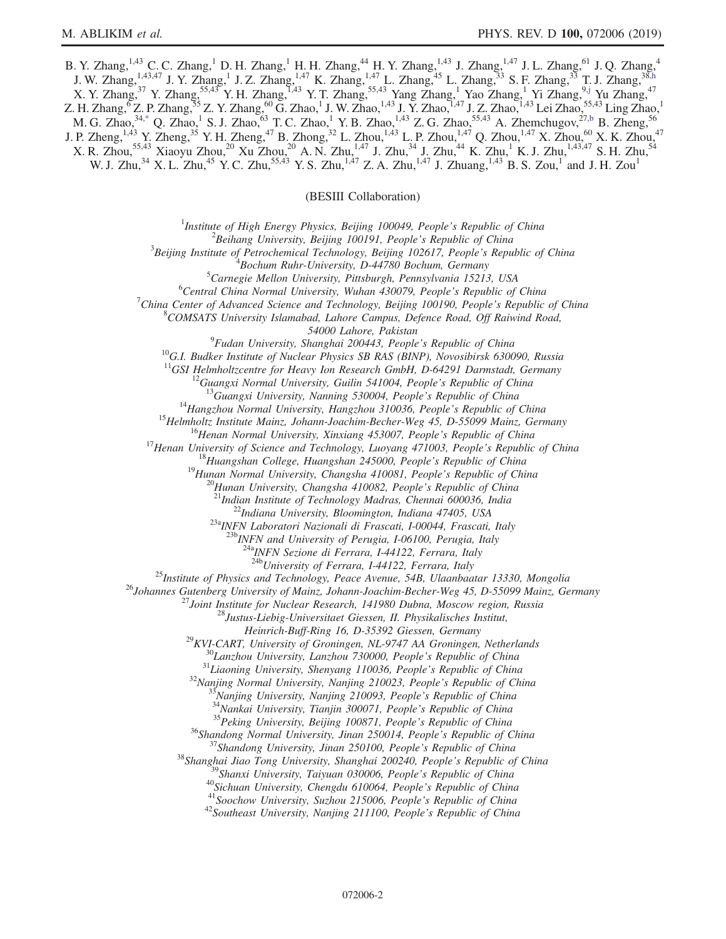<span id="page-1-0"></span>B. Y. Zhang,<sup>1,43</sup> C. C. Zhang,<sup>1</sup> D. H. Zhang,<sup>1</sup> H. H. Zhang,<sup>44</sup> H. Y. Zhang,<sup>1,43</sup> J. Zhang,<sup>1,47</sup> J. L. Zhang,<sup>61</sup> J. Q. Zhang,<sup>4</sup> J. W. Zhang,  $^{1,43,47}$  J. Y. Zhang,  $^{1}$  J. Z. Zhang,  $^{1,47}$  K. Zhang,  $^{1,47}$  L. Zhang,  $^{45}$  L. Zhang,  $^{33}$  S. F. Zhang,  $^{33}$  T. J. Zhang,  $^{38}$ ,  $^{8}$ ,  $^{1}$ X. Y. Zhang,<sup>37</sup> Y. Zhang,<sup>55,43</sup> Y. H. Zhang,<sup>1,43</sup> Y. T. Zhang,<sup>55,43</sup> Yang Zhang,<sup>1</sup> Yao Zhang,<sup>1</sup> Yi Zhang,<sup>9[,j](#page-2-5)</sup> Yu Zhang,<sup>47</sup> Z. H. Zhang,  ${}^6Z$ . P. Zhang,  ${}^{55}Z$ . Y. Zhang,  ${}^{60}G$ . Zhao, <sup>1</sup> J. W. Zhao, <sup>1,43</sup> J. Y. Zhao, <sup>1,47</sup> J. Z. Zhao, <sup>1,43</sup> Lei Zhao,  ${}^{55,43}$  Ling Zhao, <sup>1</sup> M. G. Zhao,  $34$ [,\\*](#page-2-11) Q. Zhao, $1$  S. J. Zhao, $63$  T. C. Zhao, $1$  Y. B. Zhao, $1,43$  Z. G. Zhao, $55,43$  A. Zhemchugov, $27,6$  B. Zheng,  $56$ J. P. Zheng,<sup>1,43</sup> Y. Zheng,<sup>35</sup> Y. H. Zheng,<sup>47</sup> B. Zhong,<sup>32</sup> L. Zhou,<sup>1,43</sup> L. P. Zhou,<sup>1,47</sup> Q. Zhou,<sup>1,47</sup> X. Zhou,<sup>60</sup> X. K. Zhou,<sup>47</sup>  $X.$  R. Zhou,<sup>55,43</sup> Xiaoyu Zhou,<sup>20</sup> Xu Zhou,<sup>20</sup> A. N. Zhu,<sup>1,47</sup> J. Zhu,<sup>34</sup> J. Zhu,<sup>44</sup> K. Zhu,<sup>1</sup> K. J. Zhu,<sup>1,43,47</sup> S. H. Zhu,<sup>54</sup> W. J. Zhu,<sup>34</sup> X. L. Zhu,<sup>45</sup> Y. C. Zhu,<sup>55,43</sup> Y. S. Zhu,<sup>1,47</sup> Z. A. Zhu,<sup>1,47</sup> J. Zhuang,<sup>1,43</sup> B. S. Zou,<sup>1</sup> and J. H. Zou<sup>1</sup>

(BESIII Collaboration)

<sup>1</sup>Institute of High Energy Physics, Beijing 100049, People's Republic of China  $\frac{2 \text{Poibana}}{2}$ 

 $^2$ Beihang University, Beijing 100191, People's Republic of China

 $3$ Beijing Institute of Petrochemical Technology, Beijing 102617, People's Republic of China

 ${}^{4}$ Bochum Ruhr-University, D-44780 Bochum, Germany

 ${}^{5}$ Carnegie Mellon University, Pittsburgh, Pennsylvania 15213, USA

 ${}^{6}$ Central China Normal University, Wuhan 430079, People's Republic of China

China Center of Advanced Science and Technology, Beijing 100190, People's Republic of China <sup>8</sup>

 $^8$ COMSATS University Islamabad, Lahore Campus, Defence Road, Off Raiwind Road,

54000 Lahore, Pakistan<br><sup>9</sup>Fudan University, Shanghai 200443, People's Republic of China

<sup>10</sup>G.I. Budker Institute of Nuclear Physics SB RAS (BINP), Novosibirsk 630090, Russia <sup>11</sup>GSI Helmholtzcentre for Heavy Ion Research GmbH, D-64291 Darmstadt, Germany

<sup>11</sup>GSI Helmholtzcentre for Heavy Ion Research GmbH, D-64291 Darmstadt, Germany<br><sup>12</sup>Guangxi Normal University, Guilin 541004, People's Republic of China<br><sup>13</sup>Guangxi University, Nanning 530004, People's Republic of China<br><sup></sup>

 $\frac{^{23a}NFN}{^{23b}NFN}$  Laboratori Nazionali di Frascati, I-00044, Frascati, Italy<br> $\frac{^{23b}NFN}{^{23b}NFN}$  and University of Perugia, I-06100, Perugia, Italy

<sup>24a</sup>INFN Sezione di Ferrara, I-44122, Ferrara, Italy<br><sup>24b</sup>University of Ferrara, I-44122, Ferrara, Italy

<sup>25</sup>Institute of Physics and Technology, Peace Avenue, 54B, Ulaanbaatar 13330, Mongolia<br><sup>26</sup>Johannes Gutenberg University of Mainz, Johann-Joachim-Becher-Weg 45, D-55099 Mainz, Germany<br><sup>27</sup>Joint Institute for Nuclear Rese

Heinrich-Buff-Ring 16, D-35392 Giessen, Germany<br>
<sup>29</sup>KVI-CART, University of Groningen, NL-9747 AA Groningen, Netherlands<br>
<sup>30</sup>Lanzhou University, Lanzhou 730000, People's Republic of China<br>
<sup>31</sup>Liaoning University, Shenya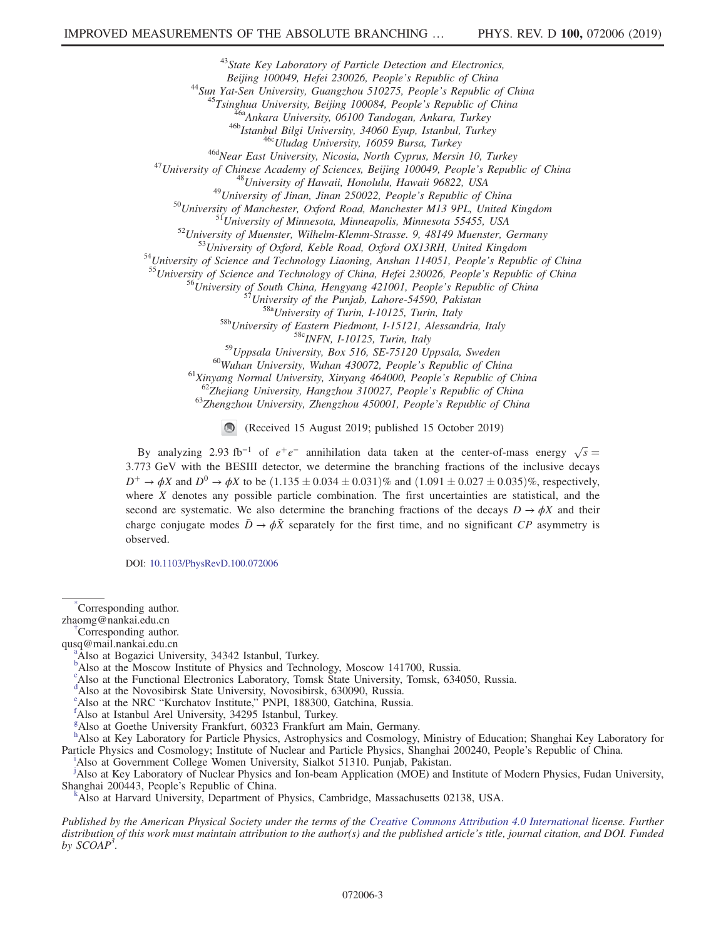<sup>43</sup>State Key Laboratory of Particle Detection and Electronics, Beijing 100049, Hefei 230026, People's Republic of China

Beijing 100049, Hefei 230026, People's Republic of China<br>
<sup>44</sup>Sun Yat-Sen University, Guangshou 510275, People's Republic of China<br>
<sup>45</sup>Sun Hindar University, Beijing 100084, People's Republic of China<br>
<sup>45</sup>Sunghua Univer

<sup>58b</sup>University of Eastern Piedmont, I-15121, Alessandria, Italy<br><sup>58c</sup>INFN, I-10125, Turin, Italy<br><sup>58c</sup>INFN, I-10125, Turin, Italy<br><sup>59</sup>Uppsala University, Box 516, SE-75120 Uppsala, Sweden<br><sup>60</sup>Wuhan University, Wuhan 4300

(Received 15 August 2019; published 15 October 2019)

By analyzing 2.93 fb<sup>-1</sup> of  $e^+e^-$  annihilation data taken at the center-of-mass energy  $\sqrt{s}$  = 3.773 GeV with the BESIII detector, we determine the branching fractions of the inclusive decays  $D^+ \to \phi X$  and  $D^0 \to \phi X$  to be  $(1.135 \pm 0.034 \pm 0.031)\%$  and  $(1.091 \pm 0.027 \pm 0.035)\%$ , respectively, where  $X$  denotes any possible particle combination. The first uncertainties are statistical, and the second are systematic. We also determine the branching fractions of the decays  $D \rightarrow \phi X$  and their charge conjugate modes  $\bar{D} \rightarrow \phi \bar{X}$  separately for the first time, and no significant CP asymmetry is observed.

DOI: [10.1103/PhysRevD.100.072006](https://doi.org/10.1103/PhysRevD.100.072006)

<span id="page-2-11"></span>[\\*](#page-1-0) Corresponding author.

<span id="page-2-7"></span>Corresponding author.

<span id="page-2-10"></span>qusq@mail.nankai.edu.cn [a](#page-0-1)

<span id="page-2-1"></span>Also at Bogazici University, 34342 Istanbul, Turkey.

<sup>[b](#page-0-2)</sup>Also at the Moscow Institute of Physics and Technology, Moscow 141700, Russia.

c Also at the Functional Electronics Laboratory, Tomsk State University, Tomsk, 634050, Russia.

<span id="page-2-0"></span><sup>[d](#page-0-3)</sup>Also at the Novosibirsk State University, Novosibirsk, 630090, Russia.

<span id="page-2-9"></span><sup>[e](#page-0-4)</sup> Also at the NRC "Kurchatov Institute," PNPI, 188300, Gatchina, Russia.

<span id="page-2-4"></span>Also at Istanbul Arel University, 34295 Istanbul, Turkey.

<span id="page-2-3"></span>[g](#page-0-6) Also at Goethe University Frankfurt, 60323 Frankfurt am Main, Germany.

<span id="page-2-2"></span>[h](#page-0-7) Also at Key Laboratory for Particle Physics, Astrophysics and Cosmology, Ministry of Education; Shanghai Key Laboratory for Part[i](#page-0-0)cle Physics and Cosmology; Institute of Nuclear and Particle Physics, Shanghai 200240, People's Republic of China.

<span id="page-2-8"></span><sup>1</sup>Also at Government College Women University, Sialkot 51310. Punjab, Pakistan.

<span id="page-2-5"></span><sup>[j](#page-0-8)</sup>Also at Key Laboratory of Nuclear Physics and Ion-beam Application (MOE) and Institute of Modern Physics, Fudan University, Shanghai 200443, People's Republic of China. [k](#page-0-3)

<span id="page-2-6"></span>Also at Harvard University, Department of Physics, Cambridge, Massachusetts 02138, USA.

Published by the American Physical Society under the terms of the [Creative Commons Attribution 4.0 International](https://creativecommons.org/licenses/by/4.0/) license. Further distribution of this work must maintain attribution to the author(s) and the published article's title, journal citation, and DOI. Funded by  $SCOAP<sup>3</sup>$ .

zhaomg@nankai.edu.cn [†](#page-0-0)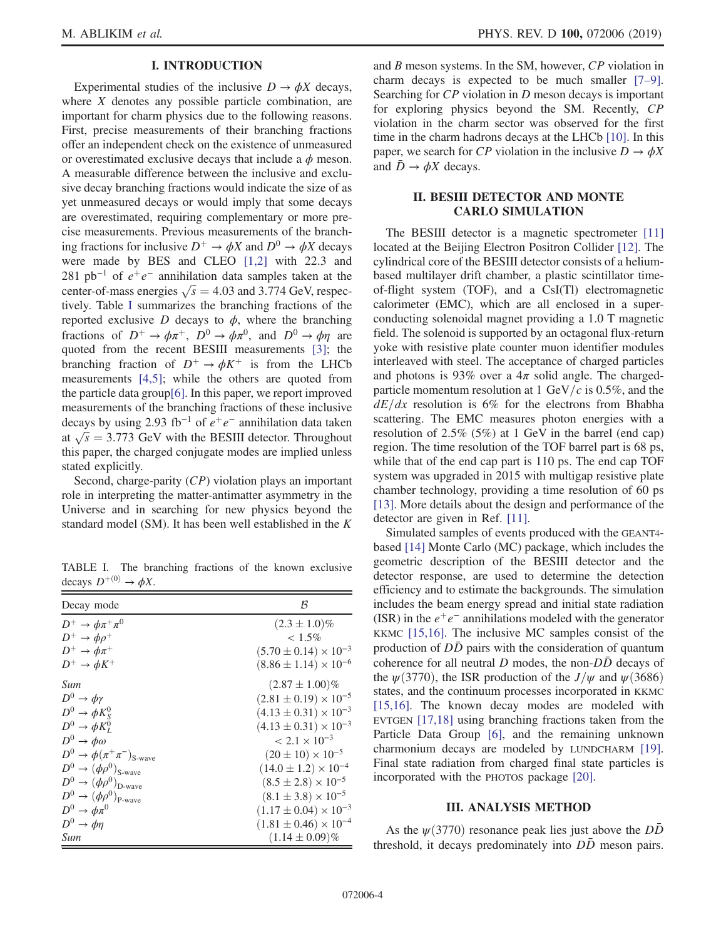# I. INTRODUCTION

Experimental studies of the inclusive  $D \to \phi X$  decays, where  $X$  denotes any possible particle combination, are important for charm physics due to the following reasons. First, precise measurements of their branching fractions offer an independent check on the existence of unmeasured or overestimated exclusive decays that include a  $\phi$  meson. A measurable difference between the inclusive and exclusive decay branching fractions would indicate the size of as yet unmeasured decays or would imply that some decays are overestimated, requiring complementary or more precise measurements. Previous measurements of the branching fractions for inclusive  $D^+ \rightarrow \phi X$  and  $D^0 \rightarrow \phi X$  decays were made by BES and CLEO [\[1,2\]](#page-10-0) with 22.3 and 281 pb<sup>-1</sup> of  $e^+e^-$  annihilation data samples taken at the center-of-mass energies  $\sqrt{s} = 4.03$  and 3.774 GeV, respectively. Table [I](#page-3-0) summarizes the branching fractions of the reported exclusive  $D$  decays to  $\phi$ , where the branching fractions of  $D^+ \to \phi \pi^+$ ,  $D^0 \to \phi \pi^0$ , and  $D^0 \to \phi \eta$  are quoted from the recent BESIII measurements [\[3\]](#page-10-1); the branching fraction of  $D^+ \rightarrow \phi K^+$  is from the LHCb measurements [\[4,5\]](#page-10-2); while the others are quoted from the particle data group[\[6\].](#page-10-3) In this paper, we report improved measurements of the branching fractions of these inclusive decays by using 2.93 fb<sup>-1</sup> of  $e^+e^-$  annihilation data taken at  $\sqrt{s}$  = 3.773 GeV with the BESIII detector. Throughout this paper, the charged conjugate modes are implied unless stated explicitly.

Second, charge-parity (CP) violation plays an important role in interpreting the matter-antimatter asymmetry in the Universe and in searching for new physics beyond the standard model (SM). It has been well established in the K

<span id="page-3-0"></span>TABLE I. The branching fractions of the known exclusive decays  $D^{+(0)} \rightarrow \phi X$ .

| Decay mode                                         | ß                                |
|----------------------------------------------------|----------------------------------|
| $D^+\to\phi\pi^+\pi^0$                             | $(2.3 \pm 1.0)\%$                |
| $D^+\to\phi\rho^+$                                 | $< 1.5\%$                        |
| $D^+\to\phi\pi^+$                                  | $(5.70 \pm 0.14) \times 10^{-3}$ |
| $D^+\to \phi K^+$                                  | $(8.86 \pm 1.14) \times 10^{-6}$ |
| Sum                                                | $(2.87 \pm 1.00)\%$              |
| $D^0 \rightarrow \phi \gamma$                      | $(2.81 \pm 0.19) \times 10^{-5}$ |
| $D^0 \rightarrow \phi K_S^0$                       | $(4.13 \pm 0.31) \times 10^{-3}$ |
| $D^0 \rightarrow \phi K_L^0$                       | $(4.13 \pm 0.31) \times 10^{-3}$ |
| $D^0 \rightarrow \phi \omega$                      | $< 2.1 \times 10^{-3}$           |
| $D^0 \rightarrow \phi(\pi^+\pi^-)_{\text{S-wave}}$ | $(20 \pm 10) \times 10^{-5}$     |
| $D^0 \rightarrow (\phi \rho^0)_{\text{S-wave}}$    | $(14.0 \pm 1.2) \times 10^{-4}$  |
| $D^0 \rightarrow (\phi \rho^0)_{\text{D-wave}}$    | $(8.5 \pm 2.8) \times 10^{-5}$   |
| $D^0 \rightarrow (\phi \rho^0)_{\text{P-wave}}$    | $(8.1 \pm 3.8) \times 10^{-5}$   |
| $D^0 \rightarrow \phi \pi^0$                       | $(1.17 \pm 0.04) \times 10^{-3}$ |
| $D^0 \rightarrow \phi \eta$                        | $(1.81 \pm 0.46) \times 10^{-4}$ |
| Sum                                                | $(1.14 \pm 0.09)\%$              |

and B meson systems. In the SM, however, CP violation in charm decays is expected to be much smaller [\[7](#page-10-4)–9]. Searching for CP violation in D meson decays is important for exploring physics beyond the SM. Recently, CP violation in the charm sector was observed for the first time in the charm hadrons decays at the LHCb [\[10\].](#page-10-5) In this paper, we search for CP violation in the inclusive  $D \to \phi X$ and  $\bar{D} \rightarrow \phi X$  decays.

### II. BESIII DETECTOR AND MONTE CARLO SIMULATION

The BESIII detector is a magnetic spectrometer [\[11\]](#page-10-6) located at the Beijing Electron Positron Collider [\[12\]](#page-10-7). The cylindrical core of the BESIII detector consists of a heliumbased multilayer drift chamber, a plastic scintillator timeof-flight system (TOF), and a CsI(Tl) electromagnetic calorimeter (EMC), which are all enclosed in a superconducting solenoidal magnet providing a 1.0 T magnetic field. The solenoid is supported by an octagonal flux-return yoke with resistive plate counter muon identifier modules interleaved with steel. The acceptance of charged particles and photons is 93% over a  $4\pi$  solid angle. The chargedparticle momentum resolution at 1 GeV/c is 0.5%, and the  $dE/dx$  resolution is 6% for the electrons from Bhabha scattering. The EMC measures photon energies with a resolution of 2.5% (5%) at 1 GeV in the barrel (end cap) region. The time resolution of the TOF barrel part is 68 ps, while that of the end cap part is 110 ps. The end cap TOF system was upgraded in 2015 with multigap resistive plate chamber technology, providing a time resolution of 60 ps [\[13\]](#page-10-8). More details about the design and performance of the detector are given in Ref. [\[11\].](#page-10-6)

Simulated samples of events produced with the GEANT4 based [\[14\]](#page-10-9) Monte Carlo (MC) package, which includes the geometric description of the BESIII detector and the detector response, are used to determine the detection efficiency and to estimate the backgrounds. The simulation includes the beam energy spread and initial state radiation (ISR) in the  $e^+e^-$  annihilations modeled with the generator KKMC [\[15,16\].](#page-10-10) The inclusive MC samples consist of the production of  $D\bar{D}$  pairs with the consideration of quantum coherence for all neutral D modes, the non- $D\overline{D}$  decays of the  $\psi$ (3770), the ISR production of the  $J/\psi$  and  $\psi$ (3686) states, and the continuum processes incorporated in KKMC [\[15,16\]](#page-10-10). The known decay modes are modeled with EVTGEN [\[17,18\]](#page-10-11) using branching fractions taken from the Particle Data Group [\[6\],](#page-10-3) and the remaining unknown charmonium decays are modeled by LUNDCHARM [\[19\]](#page-10-12). Final state radiation from charged final state particles is incorporated with the PHOTOS package [\[20\]](#page-10-13).

# III. ANALYSIS METHOD

As the  $\psi$ (3770) resonance peak lies just above the DD threshold, it decays predominately into *DD* meson pairs.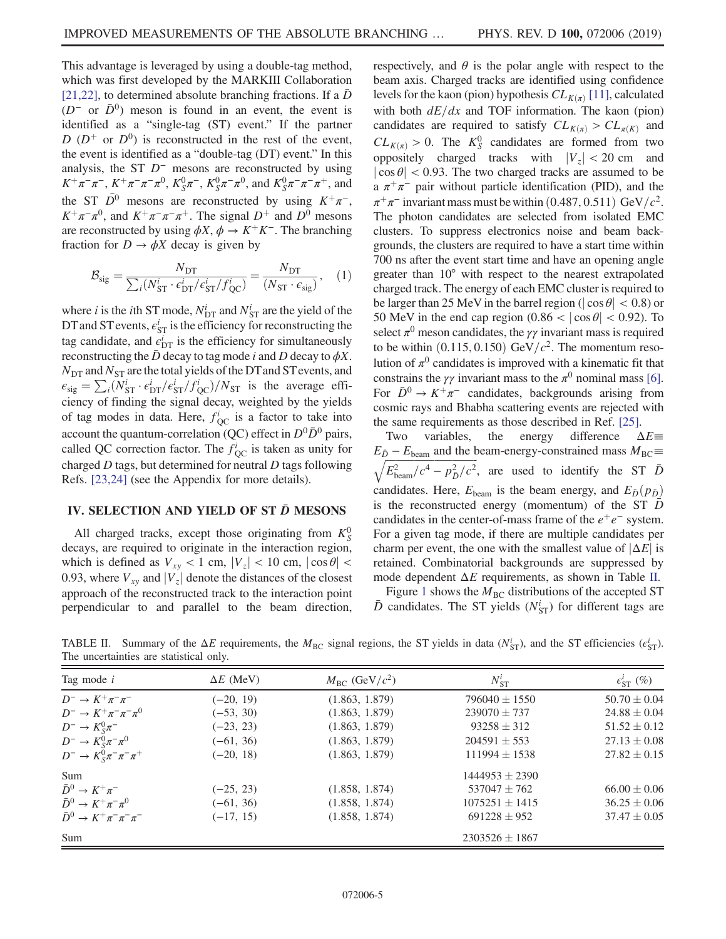This advantage is leveraged by using a double-tag method, which was first developed by the MARKIII Collaboration [\[21,22\]](#page-10-14), to determined absolute branching fractions. If a  $D$  $(D<sup>-</sup>$  or  $\bar{D}^0$ ) meson is found in an event, the event is identified as a "single-tag (ST) event." If the partner D  $(D^+$  or  $D^0$ ) is reconstructed in the rest of the event, the event is identified as a "double-tag (DT) event." In this analysis, the ST  $D^-$  mesons are reconstructed by using  $K^+\pi^-\pi^-$ ,  $K^+\pi^-\pi^-\pi^0$ ,  $K_S^0\pi^-$ ,  $K_S^0\pi^-\pi^0$ , and  $K_S^0\pi^-\pi^-\pi^+$ , and the ST  $\overline{D}^0$  mesons are reconstructed by using  $K^+\pi^-$ ,  $K^+\pi^-\pi^0$ , and  $K^+\pi^-\pi^-\pi^+$ . The signal  $D^+$  and  $D^0$  mesons are reconstructed by using  $\phi X$ ,  $\phi \to K^+K^-$ . The branching fraction for  $D \to \phi X$  decay is given by

$$
\mathcal{B}_{\text{sig}} = \frac{N_{\text{DT}}}{\sum_{i} (N_{\text{ST}}^{i} \cdot \epsilon_{\text{DT}}^{i} / \epsilon_{\text{ST}}^{i} / f_{\text{QC}}^{i})} = \frac{N_{\text{DT}}}{(N_{\text{ST}} \cdot \epsilon_{\text{sig}})},
$$
 (1)

where *i* is the *i*th ST mode,  $N_{\text{DT}}^i$  and  $N_{\text{ST}}^i$  are the yield of the DT and ST events,  $\epsilon_{ST}^i$  is the efficiency for reconstructing the tag candidate, and  $\vec{e}_{DT}$  is the efficiency for simultaneously reconstructing the  $\bar{D}$  decay to tag mode i and D decay to  $\phi X$ .  $N_{\text{DT}}$  and  $N_{\text{ST}}$  are the total yields of the DT and ST events, and  $\epsilon_{\text{sig}} = \sum_i (N_{\text{ST}}^i \cdot \epsilon_{\text{DT}}^i / \epsilon_{\text{ST}}^i / f_{\text{QC}}^i) / N_{\text{ST}}$  is the average efficiency of finding the signal decay, weighted by the yields of tag modes in data. Here,  $f_{\rm QC}^i$  is a factor to take into account the quantum-correlation (QC) effect in  $D^0\bar{D}^0$  pairs, called QC correction factor. The  $f_{\rm QC}^i$  is taken as unity for charged  $D$  tags, but determined for neutral  $D$  tags following Refs. [\[23,24\]](#page-10-15) (see the Appendix for more details).

# IV. SELECTION AND YIELD OF ST  $\bar{D}$  MESONS

All charged tracks, except those originating from  $K_S^0$ decays, are required to originate in the interaction region, which is defined as  $V_{xy}$  < 1 cm,  $|V_z|$  < 10 cm,  $|\cos \theta|$  < 0.93, where  $V_{xy}$  and  $|V_z|$  denote the distances of the closest approach of the reconstructed track to the interaction point perpendicular to and parallel to the beam direction, respectively, and  $\theta$  is the polar angle with respect to the beam axis. Charged tracks are identified using confidence levels for the kaon (pion) hypothesis  $CL_{K(\pi)}[11]$ , calculated with both  $dE/dx$  and TOF information. The kaon (pion) candidates are required to satisfy  $CL_{K(\pi)} > CL_{\pi(K)}$  and  $CL_{K(\pi)} > 0$ . The  $K_S^0$  candidates are formed from two oppositely charged tracks with  $|V_z| < 20$  cm and  $|\cos \theta|$  < 0.93. The two charged tracks are assumed to be a  $\pi^+\pi^-$  pair without particle identification (PID), and the  $\pi^+\pi^-$  invariant mass must be within  $(0.487, 0.511)$  GeV/ $c^2$ . The photon candidates are selected from isolated EMC clusters. To suppress electronics noise and beam backgrounds, the clusters are required to have a start time within 700 ns after the event start time and have an opening angle greater than 10° with respect to the nearest extrapolated charged track. The energy of each EMC cluster is required to be larger than 25 MeV in the barrel region ( $|\cos \theta|$  < 0.8) or 50 MeV in the end cap region  $(0.86 < |\cos \theta| < 0.92)$ . To select  $\pi^0$  meson candidates, the  $\gamma\gamma$  invariant mass is required to be within  $(0.115, 0.150)$  GeV/ $c^2$ . The momentum resolution of  $\pi^0$  candidates is improved with a kinematic fit that constrains the  $\gamma\gamma$  invariant mass to the  $\pi^0$  nominal mass [\[6\]](#page-10-3). For  $\bar{D}^0 \to K^+\pi^-$  candidates, backgrounds arising from cosmic rays and Bhabha scattering events are rejected with the same requirements as those described in Ref. [\[25\].](#page-10-16)

Two variables, the energy difference  $\Delta E \equiv$  $E_{\bar{D}} - E_{\text{beam}}$  and the beam-energy-constrained mass  $M_{\text{BC}} \equiv$  $\sqrt{E_{\text{beam}}^2/c^4 - p_{\bar{D}}^2/c^2}$ , are used to identify the ST  $\bar{D}$ candidates. Here,  $E_{\text{beam}}$  is the beam energy, and  $E_{\bar{D}}(p_{\bar{D}})$ is the reconstructed energy (momentum) of the ST  $\bar{D}$ candidates in the center-of-mass frame of the  $e^+e^-$  system. For a given tag mode, if there are multiple candidates per charm per event, the one with the smallest value of  $|\Delta E|$  is retained. Combinatorial backgrounds are suppressed by mode dependent  $\Delta E$  requirements, as shown in Table [II.](#page-4-0)

Figure [1](#page-5-0) shows the  $M<sub>BC</sub>$  distributions of the accepted ST  $\bar{D}$  candidates. The ST yields ( $N_{\text{ST}}^i$ ) for different tags are

<span id="page-4-0"></span>TABLE II. Summary of the  $\Delta E$  requirements, the  $M_{BC}$  signal regions, the ST yields in data ( $N_{ST}^i$ ), and the ST efficiencies ( $\epsilon_{ST}^i$ ). The uncertainties are statistical only.

| Tag mode $i$                                  | $\Delta E$ (MeV) | $M_{\rm BC}$ (GeV/ $c^2$ ) | $N_{\rm ST}^i$     | $\epsilon_{\rm ST}^i$ (%) |
|-----------------------------------------------|------------------|----------------------------|--------------------|---------------------------|
| $D^- \rightarrow K^+\pi^-\pi^-$               | $(-20, 19)$      | (1.863, 1.879)             | $796040 \pm 1550$  | $50.70 \pm 0.04$          |
| $D^{-} \to K^{+} \pi^{-} \pi^{-} \pi^{0}$     | $(-53, 30)$      | (1.863, 1.879)             | $239070 \pm 737$   | $24.88 \pm 0.04$          |
| $D^- \rightarrow K_S^0 \pi^-$                 | $(-23, 23)$      | (1.863, 1.879)             | $93258 \pm 312$    | $51.52 \pm 0.12$          |
| $D^{-} \to K_{S}^{0} \pi^{-} \pi^{0}$         | $(-61, 36)$      | (1.863, 1.879)             | $204591 \pm 553$   | $27.13 \pm 0.08$          |
| $D^{-} \to K_{S}^{0} \pi^{-} \pi^{-} \pi^{+}$ | $(-20, 18)$      | (1.863, 1.879)             | $111994 \pm 1538$  | $27.82 \pm 0.15$          |
| Sum                                           |                  |                            | $1444953 \pm 2390$ |                           |
| $\bar{D}^0 \rightarrow K^+\pi^-$              | $(-25, 23)$      | (1.858, 1.874)             | $537047 \pm 762$   | $66.00 \pm 0.06$          |
| $\bar{D}^0 \rightarrow K^+\pi^-\pi^0$         | $(-61, 36)$      | (1.858, 1.874)             | $1075251 \pm 1415$ | $36.25 \pm 0.06$          |
| $\bar{D}^0 \to K^+ \pi^- \pi^- \pi^-$         | $(-17, 15)$      | (1.858, 1.874)             | $691228 \pm 952$   | $37.47 \pm 0.05$          |
| Sum                                           |                  | $2303526 \pm 1867$         |                    |                           |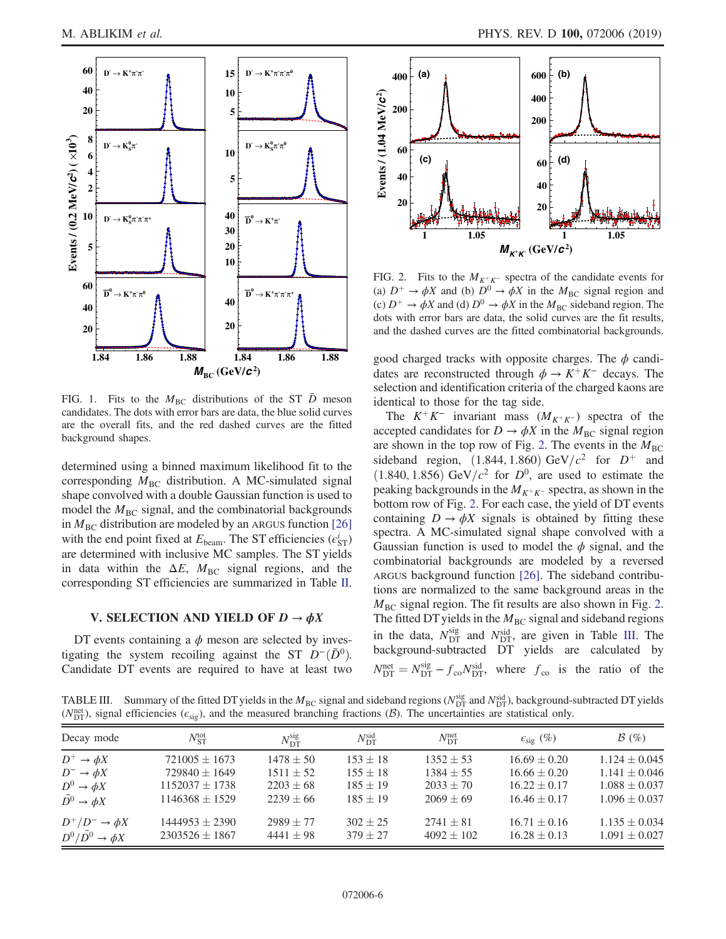<span id="page-5-0"></span>

FIG. 1. Fits to the  $M_{BC}$  distributions of the ST D meson candidates. The dots with error bars are data, the blue solid curves are the overall fits, and the red dashed curves are the fitted background shapes.

determined using a binned maximum likelihood fit to the corresponding  $M<sub>BC</sub>$  distribution. A MC-simulated signal shape convolved with a double Gaussian function is used to model the  $M<sub>BC</sub>$  signal, and the combinatorial backgrounds in  $M<sub>BC</sub>$  distribution are modeled by an ARGUS function [\[26\]](#page-10-17) with the end point fixed at  $E_{\text{beam}}$ . The ST efficiencies ( $\epsilon_{\text{ST}}^i$ ) are determined with inclusive MC samples. The ST yields in data within the  $\Delta E$ ,  $M_{BC}$  signal regions, and the corresponding ST efficiencies are summarized in Table [II](#page-4-0).

# V. SELECTION AND YIELD OF  $D \to \phi X$

DT events containing a  $\phi$  meson are selected by investigating the system recoiling against the ST  $D^-(\bar{D}^0)$ . Candidate DT events are required to have at least two

<span id="page-5-1"></span>

FIG. 2. Fits to the  $M_{K^+K^-}$  spectra of the candidate events for (a)  $D^+ \rightarrow \phi X$  and (b)  $D^0 \rightarrow \phi X$  in the  $M_{BC}$  signal region and (c)  $D^+ \rightarrow \phi X$  and (d)  $D^0 \rightarrow \phi X$  in the  $M_{BC}$  sideband region. The dots with error bars are data, the solid curves are the fit results, and the dashed curves are the fitted combinatorial backgrounds.

good charged tracks with opposite charges. The  $\phi$  candidates are reconstructed through  $\phi \to K^+K^-$  decays. The selection and identification criteria of the charged kaons are identical to those for the tag side.

The  $K^+K^-$  invariant mass  $(M_{K^+K^-})$  spectra of the accepted candidates for  $D \to \phi X$  in the  $M_{BC}$  signal region are shown in the top row of Fig. [2](#page-5-1). The events in the  $M_{BC}$ sideband region,  $(1.844, 1.860)$  GeV/ $c^2$  for  $D^+$  and  $(1.840, 1.856)$  GeV/ $c^2$  for  $D^0$ , are used to estimate the peaking backgrounds in the  $M_{K^+K^-}$  spectra, as shown in the bottom row of Fig. [2](#page-5-1). For each case, the yield of DT events containing  $D \to \phi X$  signals is obtained by fitting these spectra. A MC-simulated signal shape convolved with a Gaussian function is used to model the  $\phi$  signal, and the combinatorial backgrounds are modeled by a reversed ARGUS background function [\[26\]](#page-10-17). The sideband contributions are normalized to the same background areas in the  $M<sub>BC</sub>$  signal region. The fit results are also shown in Fig. [2](#page-5-1). The fitted DT yields in the  $M<sub>BC</sub>$  signal and sideband regions in the data,  $N_{\text{DT}}^{\text{sig}}$  and  $N_{\text{DT}}^{\text{sid}}$ , are given in Table [III](#page-5-2). The background-subtracted DT yields are calculated by  $N_{\text{DT}}^{\text{net}} = N_{\text{DT}}^{\text{sig}} - f_{\text{co}} N_{\text{DT}}^{\text{sid}}$ , where  $f_{\text{co}}$  is the ratio of the

<span id="page-5-2"></span>TABLE III. Summary of the fitted DT yields in the  $M_{BC}$  signal and sideband regions ( $N_{DT}^{sig}$  and  $N_{DT}^{sid}$ ), background-subtracted DT yields  $(N_{\text{DT}}^{\text{net}})$ , signal efficiencies ( $\epsilon_{\text{sig}}$ ), and the measured branching fractions ( $\beta$ ). The uncertainties are statistical only.

| Decay mode                                | $N_{\rm\scriptscriptstyle C T}^{\rm tot}$ | $N_{\rm DT}^{\rm sig}$ | $N_{\rm DT}^{\rm sid}$ | $N_{\rm DT}^{\rm net}$ | $\epsilon_{\text{sig}}(\%)$ | $\mathcal{B}(\%)$ |
|-------------------------------------------|-------------------------------------------|------------------------|------------------------|------------------------|-----------------------------|-------------------|
| $D^+ \rightarrow \phi X$                  | $721005 \pm 1673$                         | $1478 \pm 50$          | $153 \pm 18$           | $1352 \pm 53$          | $16.69 \pm 0.20$            | $1.124 \pm 0.045$ |
| $D^- \rightarrow \phi X$                  | $729840 \pm 1649$                         | $1511 \pm 52$          | $155 \pm 18$           | $1384 \pm 55$          | $16.66 \pm 0.20$            | $1.141 \pm 0.046$ |
| $D^0 \rightarrow \phi X$                  | $1152037 \pm 1738$                        | $2203 \pm 68$          | $185 + 19$             | $2033 \pm 70$          | $16.22 \pm 0.17$            | $1.088 \pm 0.037$ |
| $\overline{D}{}^0 \rightarrow \phi X$     | $1146368 \pm 1529$                        | $2239 + 66$            | $185 + 19$             | $2069 + 69$            | $16.46 \pm 0.17$            | $1.096 \pm 0.037$ |
| $D^+/D^- \rightarrow \phi X$              | $1444953 + 2390$                          | $2989 + 77$            | $302 + 25$             | $2741 \pm 81$          | $16.71 \pm 0.16$            | $1.135 \pm 0.034$ |
| $D^0/\overline{D}{}^0 \rightarrow \phi X$ | $2303526 \pm 1867$                        | $4441 \pm 98$          | $379 + 27$             | $4092 \pm 102$         | $16.28 \pm 0.13$            | $1.091 \pm 0.027$ |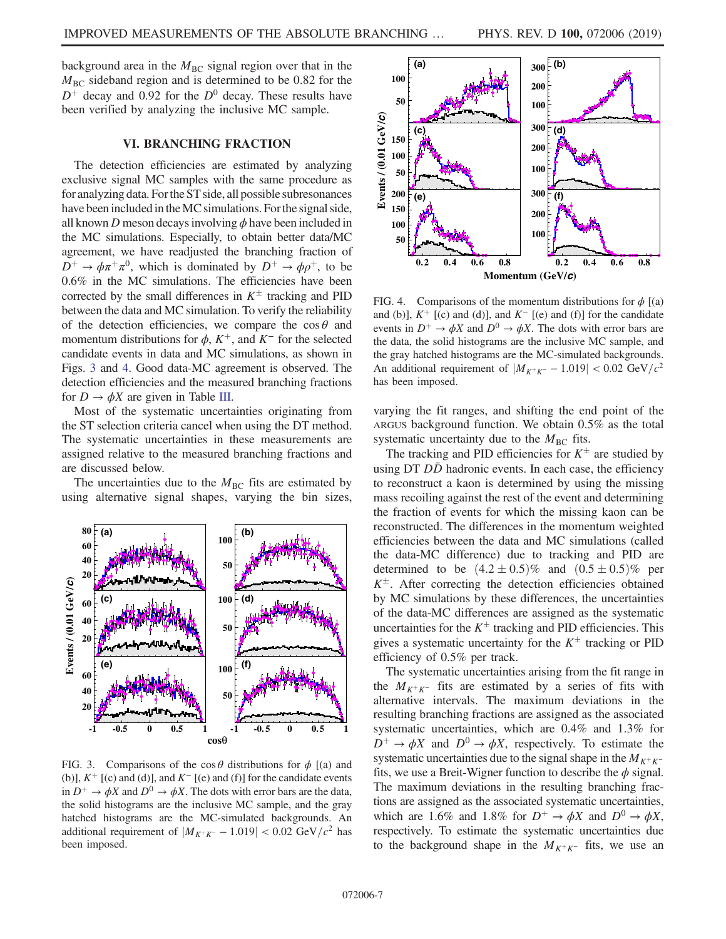background area in the  $M<sub>BC</sub>$  signal region over that in the  $M<sub>BC</sub>$  sideband region and is determined to be 0.82 for the  $D^+$  decay and 0.92 for the  $D^0$  decay. These results have been verified by analyzing the inclusive MC sample.

# VI. BRANCHING FRACTION

<span id="page-6-2"></span>The detection efficiencies are estimated by analyzing exclusive signal MC samples with the same procedure as for analyzing data. Forthe ST side, all possible subresonances have been included in the MC simulations. For the signal side, all known D meson decays involving  $\phi$  have been included in the MC simulations. Especially, to obtain better data/MC agreement, we have readjusted the branching fraction of  $D^+ \rightarrow \phi \pi^+ \pi^0$ , which is dominated by  $D^+ \rightarrow \phi \rho^+$ , to be 0.6% in the MC simulations. The efficiencies have been corrected by the small differences in  $K^{\pm}$  tracking and PID between the data and MC simulation. To verify the reliability of the detection efficiencies, we compare the  $\cos \theta$  and momentum distributions for  $\phi$ ,  $K^+$ , and  $K^-$  for the selected candidate events in data and MC simulations, as shown in Figs. [3](#page-6-0) and [4](#page-6-1). Good data-MC agreement is observed. The detection efficiencies and the measured branching fractions for  $D \to \phi X$  are given in Table [III.](#page-5-2)

Most of the systematic uncertainties originating from the ST selection criteria cancel when using the DT method. The systematic uncertainties in these measurements are assigned relative to the measured branching fractions and are discussed below.

The uncertainties due to the  $M<sub>BC</sub>$  fits are estimated by using alternative signal shapes, varying the bin sizes,

<span id="page-6-0"></span>

FIG. 3. Comparisons of the cos  $\theta$  distributions for  $\phi$  [(a) and (b)],  $K^+$  [(c) and (d)], and  $K^-$  [(e) and (f)] for the candidate events in  $D^+ \rightarrow \phi X$  and  $D^0 \rightarrow \phi X$ . The dots with error bars are the data, the solid histograms are the inclusive MC sample, and the gray hatched histograms are the MC-simulated backgrounds. An additional requirement of  $|M_{K^+K^-} - 1.019| < 0.02$  GeV/ $c^2$  has been imposed.

<span id="page-6-1"></span>

FIG. 4. Comparisons of the momentum distributions for  $\phi$  [(a) and (b)],  $K^+$  [(c) and (d)], and  $K^-$  [(e) and (f)] for the candidate events in  $D^+ \rightarrow \phi X$  and  $D^0 \rightarrow \phi X$ . The dots with error bars are the data, the solid histograms are the inclusive MC sample, and the gray hatched histograms are the MC-simulated backgrounds. An additional requirement of  $|M_{K^+K^-} - 1.019| < 0.02 \text{ GeV}/c^2$ has been imposed.

varying the fit ranges, and shifting the end point of the ARGUS background function. We obtain 0.5% as the total systematic uncertainty due to the  $M<sub>BC</sub>$  fits.

The tracking and PID efficiencies for  $K^{\pm}$  are studied by using  $DT$   $D\bar{D}$  hadronic events. In each case, the efficiency to reconstruct a kaon is determined by using the missing mass recoiling against the rest of the event and determining the fraction of events for which the missing kaon can be reconstructed. The differences in the momentum weighted efficiencies between the data and MC simulations (called the data-MC difference) due to tracking and PID are determined to be  $(4.2 \pm 0.5)\%$  and  $(0.5 \pm 0.5)\%$  per  $K^{\pm}$ . After correcting the detection efficiencies obtained by MC simulations by these differences, the uncertainties of the data-MC differences are assigned as the systematic uncertainties for the  $K^{\pm}$  tracking and PID efficiencies. This gives a systematic uncertainty for the  $K^{\pm}$  tracking or PID efficiency of 0.5% per track.

The systematic uncertainties arising from the fit range in the  $M_{K^+K^-}$  fits are estimated by a series of fits with alternative intervals. The maximum deviations in the resulting branching fractions are assigned as the associated systematic uncertainties, which are 0.4% and 1.3% for  $D^+ \rightarrow \phi X$  and  $D^0 \rightarrow \phi X$ , respectively. To estimate the systematic uncertainties due to the signal shape in the  $M_{K^+K^-}$ fits, we use a Breit-Wigner function to describe the  $\phi$  signal. The maximum deviations in the resulting branching fractions are assigned as the associated systematic uncertainties, which are 1.6% and 1.8% for  $D^+ \rightarrow \phi X$  and  $D^0 \rightarrow \phi X$ , respectively. To estimate the systematic uncertainties due to the background shape in the  $M_{K^+K^-}$  fits, we use an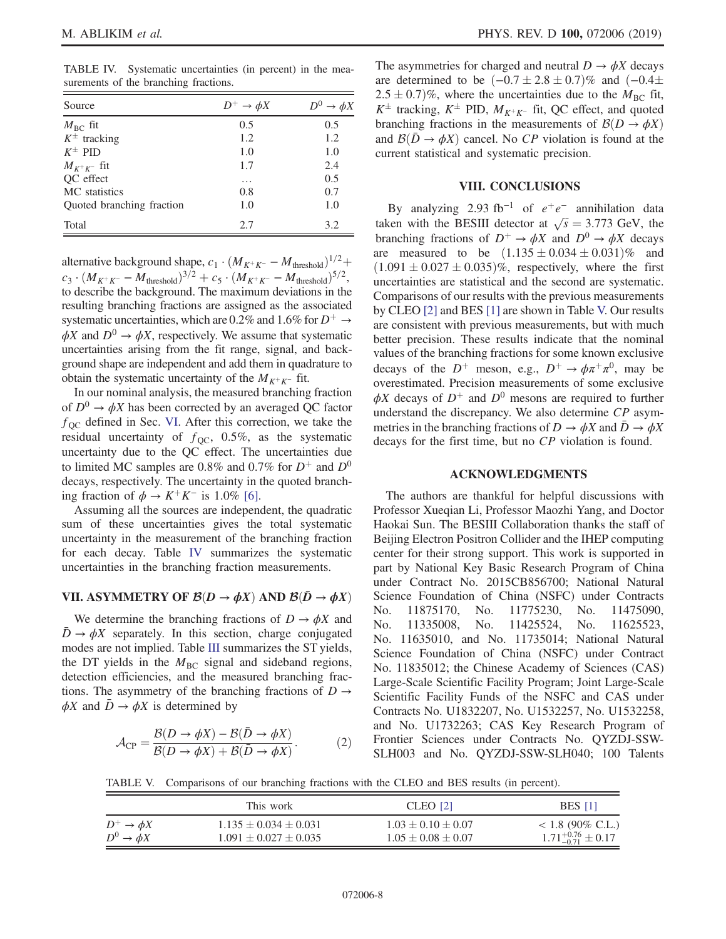<span id="page-7-0"></span>TABLE IV. Systematic uncertainties (in percent) in the measurements of the branching fractions.

| Source                    | $D^+ \rightarrow \phi X$ | $\rightarrow \phi X$ |
|---------------------------|--------------------------|----------------------|
| $M_{\rm BC}$ fit          | 0.5                      | 0.5                  |
| $K^{\pm}$ tracking        | 1.2                      | 1.2                  |
| $K^{\pm}$ PID             | 1.0                      | 1.0                  |
| $M_{K^+K^-}$ fit          | 1.7                      | 2.4                  |
| QC effect                 | .                        | 0.5                  |
| MC statistics             | 0.8                      | 0.7                  |
| Quoted branching fraction | 1.0                      | 1.0                  |
| Total                     | 2.7                      | 3.2                  |

alternative background shape,  $c_1 \cdot (M_{K^+K^-} - M_{\text{threshold}})^{1/2} +$  $c_3 \cdot (M_{K^+K^-} - M_{\text{threshold}})^{3/2} + c_5 \cdot (M_{K^+K^-} - M_{\text{threshold}})^{5/2}$ to describe the background. The maximum deviations in the resulting branching fractions are assigned as the associated systematic uncertainties, which are 0.2% and 1.6% for  $D^+ \rightarrow$  $\phi X$  and  $D^0 \rightarrow \phi X$ , respectively. We assume that systematic uncertainties arising from the fit range, signal, and background shape are independent and add them in quadrature to obtain the systematic uncertainty of the  $M_{K^+K^-}$  fit.

In our nominal analysis, the measured branching fraction of  $D^0 \rightarrow \phi X$  has been corrected by an averaged QC factor  $f_{\rm QC}$  defined in Sec. [VI](#page-6-2). After this correction, we take the residual uncertainty of  $f_{\text{QC}}$ , 0.5%, as the systematic uncertainty due to the QC effect. The uncertainties due to limited MC samples are 0.8% and 0.7% for  $D^+$  and  $D^0$ decays, respectively. The uncertainty in the quoted branching fraction of  $\phi \rightarrow K^+K^-$  is 1.0% [\[6\].](#page-10-3)

Assuming all the sources are independent, the quadratic sum of these uncertainties gives the total systematic uncertainty in the measurement of the branching fraction for each decay. Table [IV](#page-7-0) summarizes the systematic uncertainties in the branching fraction measurements.

# VII. ASYMMETRY OF  $\mathcal{B}(D \to \phi X)$  AND  $\mathcal{B}(\bar{D} \to \phi X)$

We determine the branching fractions of  $D \to \phi X$  and  $\bar{D} \rightarrow \phi X$  separately. In this section, charge conjugated modes are not implied. Table [III](#page-5-2) summarizes the ST yields, the DT yields in the  $M_{\text{BC}}$  signal and sideband regions, detection efficiencies, and the measured branching fractions. The asymmetry of the branching fractions of  $D \rightarrow$  $\phi X$  and  $\bar{D} \to \phi X$  is determined by

$$
\mathcal{A}_{\rm CP} = \frac{\mathcal{B}(D \to \phi X) - \mathcal{B}(\bar{D} \to \phi X)}{\mathcal{B}(D \to \phi X) + \mathcal{B}(\bar{D} \to \phi X)}.
$$
 (2)

The asymmetries for charged and neutral  $D \to \phi X$  decays are determined to be  $(-0.7 \pm 2.8 \pm 0.7)\%$  and  $(-0.4 \pm 0.7)\%$  $(2.5 \pm 0.7)\%$ , where the uncertainties due to the  $\dot{M}_{\text{BC}}$  fit,  $K^{\pm}$  tracking,  $K^{\pm}$  PID,  $M_{K^+K^-}$  fit, QC effect, and quoted branching fractions in the measurements of  $\mathcal{B}(D \to \phi X)$ and  $\mathcal{B}(\bar{D} \to \phi X)$  cancel. No CP violation is found at the current statistical and systematic precision.

#### VIII. CONCLUSIONS

By analyzing 2.93 fb<sup>-1</sup> of  $e^+e^-$  annihilation data taken with the BESIII detector at  $\sqrt{s} = 3.773$  GeV, the branching fractions of  $D^+ \rightarrow \phi X$  and  $D^0 \rightarrow \phi X$  decays are measured to be  $(1.135 \pm 0.034 \pm 0.031)\%$  and  $(1.091 \pm 0.027 \pm 0.035)\%$ , respectively, where the first uncertainties are statistical and the second are systematic. Comparisons of our results with the previous measurements by CLEO [\[2\]](#page-10-18) and BES [\[1\]](#page-10-0) are shown in Table [V.](#page-7-1) Our results are consistent with previous measurements, but with much better precision. These results indicate that the nominal values of the branching fractions for some known exclusive decays of the  $D^+$  meson, e.g.,  $D^+ \rightarrow \phi \pi^+ \pi^0$ , may be overestimated. Precision measurements of some exclusive  $\phi X$  decays of  $D^+$  and  $D^0$  mesons are required to further understand the discrepancy. We also determine CP asymmetries in the branching fractions of  $D \to \phi X$  and  $\bar{D} \to \phi X$ decays for the first time, but no CP violation is found.

### ACKNOWLEDGMENTS

The authors are thankful for helpful discussions with Professor Xueqian Li, Professor Maozhi Yang, and Doctor Haokai Sun. The BESIII Collaboration thanks the staff of Beijing Electron Positron Collider and the IHEP computing center for their strong support. This work is supported in part by National Key Basic Research Program of China under Contract No. 2015CB856700; National Natural Science Foundation of China (NSFC) under Contracts No. 11875170, No. 11775230, No. 11475090, No. 11335008, No. 11425524, No. 11625523, No. 11635010, and No. 11735014; National Natural Science Foundation of China (NSFC) under Contract No. 11835012; the Chinese Academy of Sciences (CAS) Large-Scale Scientific Facility Program; Joint Large-Scale Scientific Facility Funds of the NSFC and CAS under Contracts No. U1832207, No. U1532257, No. U1532258, and No. U1732263; CAS Key Research Program of Frontier Sciences under Contracts No. QYZDJ-SSW-SLH003 and No. QYZDJ-SSW-SLH040; 100 Talents

<span id="page-7-1"></span>TABLE V. Comparisons of our branching fractions with the CLEO and BES results (in percent).

|                          | This work                   | CLEO [2]                 | <b>BES</b> [1]                  |
|--------------------------|-----------------------------|--------------------------|---------------------------------|
| $D^+ \rightarrow \phi X$ | $1.135 \pm 0.034 \pm 0.031$ | $1.03 \pm 0.10 \pm 0.07$ | $< 1.8$ (90% C.L.)              |
| $D^0 \rightarrow \phi X$ | $1.091 \pm 0.027 \pm 0.035$ | $1.05 \pm 0.08 \pm 0.07$ | $1.71_{-0.71}^{+0.76} \pm 0.17$ |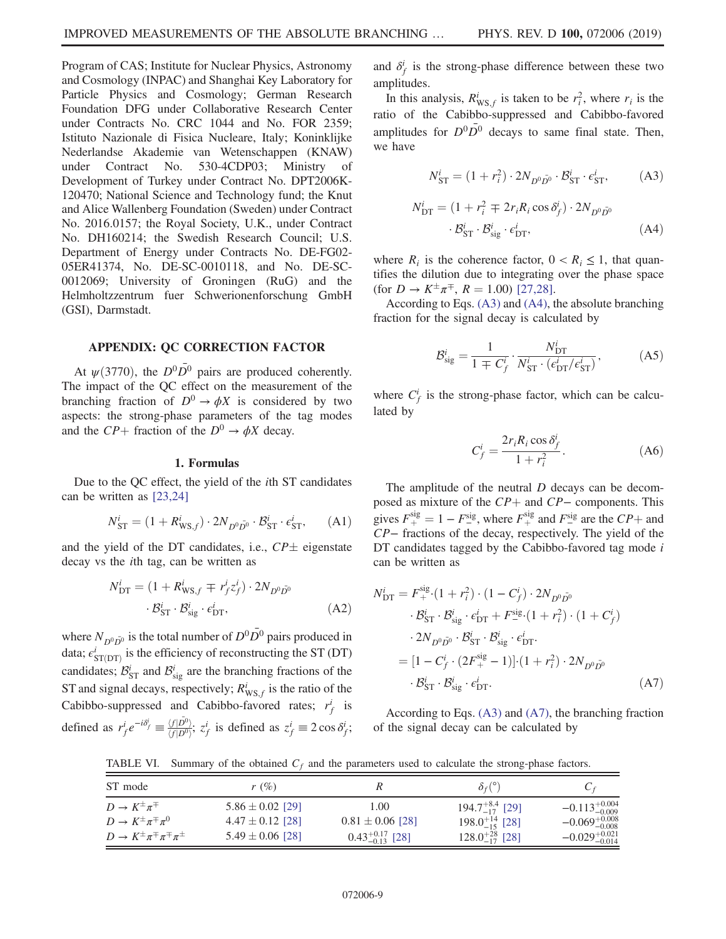Program of CAS; Institute for Nuclear Physics, Astronomy and Cosmology (INPAC) and Shanghai Key Laboratory for Particle Physics and Cosmology; German Research Foundation DFG under Collaborative Research Center under Contracts No. CRC 1044 and No. FOR 2359; Istituto Nazionale di Fisica Nucleare, Italy; Koninklijke Nederlandse Akademie van Wetenschappen (KNAW) under Contract No. 530-4CDP03; Ministry of Development of Turkey under Contract No. DPT2006K-120470; National Science and Technology fund; the Knut and Alice Wallenberg Foundation (Sweden) under Contract No. 2016.0157; the Royal Society, U.K., under Contract No. DH160214; the Swedish Research Council; U.S. Department of Energy under Contracts No. DE-FG02- 05ER41374, No. DE-SC-0010118, and No. DE-SC-0012069; University of Groningen (RuG) and the Helmholtzzentrum fuer Schwerionenforschung GmbH (GSI), Darmstadt.

## APPENDIX: QC CORRECTION FACTOR

At  $\psi$ (3770), the  $D^0\overline{D}{}^0$  pairs are produced coherently. The impact of the QC effect on the measurement of the branching fraction of  $D^0 \rightarrow \phi X$  is considered by two aspects: the strong-phase parameters of the tag modes and the  $CP+$  fraction of the  $D^0 \rightarrow \phi X$  decay.

#### 1. Formulas

Due to the QC effect, the yield of the ith ST candidates can be written as [\[23,24\]](#page-10-15)

$$
N_{\rm ST}^i = (1 + R_{\rm WS,f}^i) \cdot 2N_{D^0 \bar{D^0}} \cdot \mathcal{B}_{\rm ST}^i \cdot \epsilon_{\rm ST}^i, \qquad (A1)
$$

and the yield of the DT candidates, i.e.,  $\mathbb{CP} \pm$  eigenstate decay vs the ith tag, can be written as

$$
N_{\text{DT}}^{i} = (1 + R_{\text{WS},f}^{i} \mp r_f^{i} z_f^{i}) \cdot 2N_{D^0 \bar{D^0}}
$$

$$
\cdot \mathcal{B}_{\text{ST}}^{i} \cdot \mathcal{B}_{\text{sig}}^{i} \cdot \epsilon_{\text{DT}}^{i}, \qquad (A2)
$$

where  $N_{D^0 \bar{D}^0}$  is the total number of  $D^0 \bar{D}^0$  pairs produced in data;  $\epsilon_{\text{ST(DT)}}^{i}$  is the efficiency of reconstructing the ST (DT) candidates;  $\mathcal{B}_{ST}^i$  and  $\mathcal{B}_{sig}^i$  are the branching fractions of the ST and signal decays, respectively;  $R_{\text{WS},f}^i$  is the ratio of the Cabibbo-suppressed and Cabibbo-favored rates;  $r_f^i$  is defined as  $r_f^i e^{-i\delta_f^i} \equiv \frac{\langle f|D^0\rangle}{\langle f|D^0\rangle}$ ;  $z_f^i$  is defined as  $z_f^i \equiv 2\cos\delta_f^i$ ;

and  $\delta_f^i$  is the strong-phase difference between these two amplitudes.

<span id="page-8-0"></span>In this analysis,  $R_{\text{WS},f}^i$  is taken to be  $r_i^2$ , where  $r_i$  is the ratio of the Cabibbo-suppressed and Cabibbo-favored amplitudes for  $D^0\overline{D}^0$  decays to same final state. Then, we have

$$
N^i_{\rm ST} = (1 + r_i^2) \cdot 2N_{D^0 \bar{D^0}} \cdot \mathcal{B}^i_{\rm ST} \cdot \epsilon^i_{\rm ST}, \tag{A3}
$$

<span id="page-8-1"></span>
$$
N_{\text{DT}}^{i} = (1 + r_i^2 \mp 2r_i R_i \cos \delta_f^i) \cdot 2N_{D^0 \bar{D}^0}
$$

$$
\cdot \mathcal{B}_{\text{ST}}^{i} \cdot \mathcal{B}_{\text{sig}}^{i} \cdot \epsilon_{\text{DT}}^{i}, \tag{A4}
$$

where  $R_i$  is the coherence factor,  $0 < R_i \leq 1$ , that quantifies the dilution due to integrating over the phase space (for  $D \to K^{\pm} \pi^{\mp}$ ,  $R = 1.00$ ) [\[27,28\]](#page-10-19).

According to Eqs. [\(A3\)](#page-8-0) and [\(A4\),](#page-8-1) the absolute branching fraction for the signal decay is calculated by

$$
\mathcal{B}_{\text{sig}}^i = \frac{1}{1 \pm C_f^i} \cdot \frac{N_{\text{DT}}^i}{N_{\text{ST}}^i \cdot (\epsilon_{\text{DT}}^i / \epsilon_{\text{ST}}^i)},\tag{A5}
$$

<span id="page-8-3"></span>where  $C_f^i$  is the strong-phase factor, which can be calculated by

$$
C_f^i = \frac{2r_i R_i \cos \delta_f^i}{1 + r_i^2}.
$$
 (A6)

<span id="page-8-2"></span>The amplitude of the neutral D decays can be decomposed as mixture of the  $CP+$  and  $CP-$  components. This gives  $F_{+}^{\text{sig}} = 1 - F_{-}^{\text{sig}}$ , where  $F_{+}^{\text{sig}}$  and  $F_{-}^{\text{sig}}$  are the  $CP_{+}$  and CP− fractions of the decay, respectively. The yield of the DT candidates tagged by the Cabibbo-favored tag mode  $i$ can be written as

$$
N_{\text{DT}}^{i} = F_{+}^{\text{sig.}}(1 + r_{i}^{2}) \cdot (1 - C_{f}^{i}) \cdot 2N_{D^{0}\bar{D^{0}}}
$$
  
\n
$$
\cdot B_{\text{ST}}^{i} \cdot B_{\text{sig.}}^{i} \cdot \epsilon_{\text{DT}}^{i} + F_{-}^{\text{sig.}}(1 + r_{i}^{2}) \cdot (1 + C_{f}^{i})
$$
  
\n
$$
\cdot 2N_{D^{0}\bar{D^{0}}} \cdot B_{\text{ST}}^{i} \cdot B_{\text{sig.}}^{i} \cdot \epsilon_{\text{DT}}^{i}
$$
  
\n
$$
= [1 - C_{f}^{i} \cdot (2F_{+}^{\text{sig.}} - 1)] \cdot (1 + r_{i}^{2}) \cdot 2N_{D^{0}\bar{D^{0}}}
$$
  
\n
$$
\cdot B_{\text{ST}}^{i} \cdot B_{\text{sig.}}^{i} \cdot \epsilon_{\text{DT}}^{i}.
$$
 (A7)

According to Eqs. [\(A3\)](#page-8-0) and [\(A7\)](#page-8-2), the branching fraction of the signal decay can be calculated by

<span id="page-8-4"></span>TABLE VI. Summary of the obtained  $C_f$  and the parameters used to calculate the strong-phase factors.

| ST mode                                       | $r(\%)$              |                             | $\delta_f$ <sup>(°)</sup> | $C_f$                      |
|-----------------------------------------------|----------------------|-----------------------------|---------------------------|----------------------------|
| $D \to K^{\pm} \pi^{\mp}$                     | $5.86 \pm 0.02$ [29] | 1.00                        | $194.7^{+8.4}_{-17}$ [29] | $-0.113_{-0.009}^{+0.004}$ |
| $D \to K^{\pm} \pi^{\mp} \pi^0$               | $4.47 \pm 0.12$ [28] | $0.81 \pm 0.06$ [28]        | $198.0^{+14}_{-15}$ [28]  | $-0.069_{-0.008}^{+0.008}$ |
| $D \to K^{\pm} \pi^{\mp} \pi^{\mp} \pi^{\pm}$ | $5.49 \pm 0.06$ [28] | $0.43_{-0.13}^{+0.17}$ [28] | $128.0^{+28}_{-17}$ [28]  | $-0.029_{-0.014}^{+0.021}$ |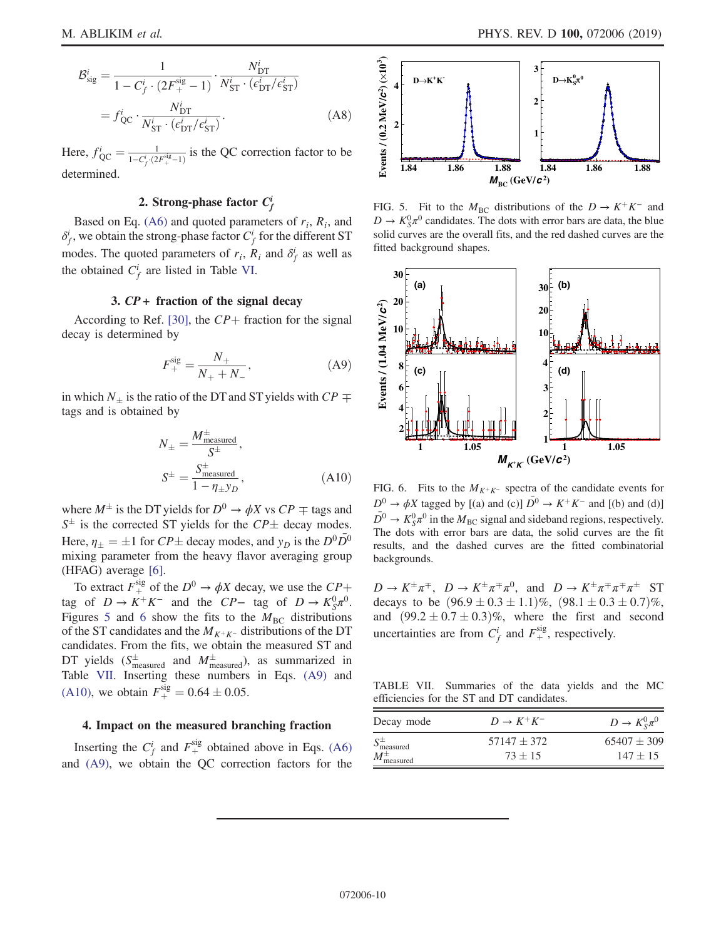$$
\mathcal{B}_{\text{sig}}^i = \frac{1}{1 - C_f^i \cdot (2F_+^{\text{sig}} - 1)} \cdot \frac{N_{\text{DT}}^i}{N_{\text{ST}}^i \cdot (\epsilon_{\text{DT}}^i / \epsilon_{\text{ST}}^i)}
$$

$$
= f_{\text{QC}}^i \cdot \frac{N_{\text{DT}}^i}{N_{\text{ST}}^i \cdot (\epsilon_{\text{DT}}^i / \epsilon_{\text{ST}}^i)}.
$$
(A8)

Here,  $f_{\text{QC}}^i = \frac{1}{1 - C_f^i \cdot (2F_+^{\text{sig}} - 1)}$  is the QC correction factor to be determined.

# 2. Strong-phase factor  $C_f^i$

Based on Eq. [\(A6\)](#page-8-3) and quoted parameters of  $r_i$ ,  $R_i$ , and  $\delta_f^i$ , we obtain the strong-phase factor  $C_f^i$  for the different ST modes. The quoted parameters of  $r_i$ ,  $\overline{R_i}$  and  $\delta_f^i$  as well as the obtained  $C_f^i$  are listed in Table [VI.](#page-8-4)

# 3.  $CP +$  fraction of the signal decay

<span id="page-9-3"></span>According to Ref. [\[30\],](#page-10-22) the  $CP+$  fraction for the signal decay is determined by

$$
F_{+}^{\text{sig}} = \frac{N_{+}}{N_{+} + N_{-}},\tag{A9}
$$

<span id="page-9-4"></span>in which  $N_{\pm}$  is the ratio of the DT and ST yields with  $CP \mp$ tags and is obtained by

$$
N_{\pm} = \frac{M_{\text{measured}}^{\pm}}{S^{\pm}},
$$
  

$$
S^{\pm} = \frac{S_{\text{measured}}^{\pm}}{1 - \eta_{\pm} y_D},
$$
(A10)

where  $M^{\pm}$  is the DT yields for  $D^0 \rightarrow \phi X$  vs  $CP \mp$  tags and  $S^{\pm}$  is the corrected ST yields for the  $CP{\pm}$  decay modes. Here,  $\eta_{\pm} = \pm 1$  for  $CP \pm$  decay modes, and  $y_D$  is the  $D^0 \overline{D}{}^0$ mixing parameter from the heavy flavor averaging group (HFAG) average [\[6\]](#page-10-3).

To extract  $F_{+}^{\text{sig}}$  of the  $D^0 \rightarrow \phi X$  decay, we use the  $CP_{+}$ tag of  $D \to K^+K^-$  and the  $CP-$  tag of  $D \to K_S^0\pi^0$ . Figures [5](#page-9-0) and [6](#page-9-1) show the fits to the  $M<sub>BC</sub>$  distributions of the ST candidates and the  $M_{K^+K^-}$  distributions of the DT candidates. From the fits, we obtain the measured ST and DT yields  $(S_{\text{measured}}^{\pm} \text{ and } M_{\text{measured}}^{\pm})$ , as summarized in Table [VII](#page-9-2). Inserting these numbers in Eqs. [\(A9\)](#page-9-3) and [\(A10\),](#page-9-4) we obtain  $F_{+}^{\text{sig}} = 0.64 \pm 0.05$ .

#### 4. Impact on the measured branching fraction

Inserting the  $C_f^i$  and  $F_+^{\text{sig}}$  obtained above in Eqs. [\(A6\)](#page-8-3) and [\(A9\),](#page-9-3) we obtain the QC correction factors for the

<span id="page-9-0"></span>

FIG. 5. Fit to the  $M_{BC}$  distributions of the  $D \rightarrow K^+K^-$  and  $D \to K_S^0 \pi^0$  candidates. The dots with error bars are data, the blue solid curves are the overall fits, and the red dashed curves are the fitted background shapes.

<span id="page-9-1"></span>

FIG. 6. Fits to the  $M_{K^+K^-}$  spectra of the candidate events for  $D^0 \rightarrow \phi X$  tagged by [(a) and (c)]  $\overline{D}{}^0 \rightarrow K^+K^-$  and [(b) and (d)]  $\overline{D}^0 \rightarrow K_S^0 \pi^0$  in the  $M_{BC}$  signal and sideband regions, respectively. The dots with error bars are data, the solid curves are the fit results, and the dashed curves are the fitted combinatorial backgrounds.

 $D \to K^{\pm} \pi^{\mp}$ ,  $D \to K^{\pm} \pi^{\mp} \pi^0$ , and  $D \to K^{\pm} \pi^{\mp} \pi^{\pm} \pi^{\pm}$  ST decays to be  $(96.9 \pm 0.3 \pm 1.1)\%$ ,  $(98.1 \pm 0.3 \pm 0.7)\%$ , and  $(99.2 \pm 0.7 \pm 0.3)\%$ , where the first and second uncertainties are from  $C_f^i$  and  $F_+^{\text{sig}}$ , respectively.

<span id="page-9-2"></span>TABLE VII. Summaries of the data yields and the MC efficiencies for the ST and DT candidates.

| Decay mode                  | $D \rightarrow K^+K^-$ | $D \to K_{S}^{0} \pi^{0}$ |
|-----------------------------|------------------------|---------------------------|
| $S_{\text{measured}}^{\pm}$ | $57147 + 372$          | $65407 + 309$             |
| $M_{\text{measured}}^{\pm}$ | $73 + 15$              | $147 + 15$                |